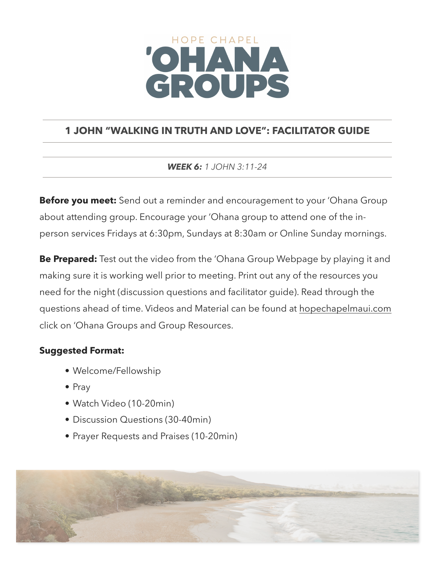# HOPE CHAPEL CROUPS

# **1 JOHN "WALKING IN TRUTH AND LOVE": FACILITATOR GUIDE**

*WEEK 6: 1 JOHN 3:11-24*

**Before you meet:** Send out a reminder and encouragement to your 'Ohana Group about attending group. Encourage your 'Ohana group to attend one of the inperson services Fridays at 6:30pm, Sundays at 8:30am or Online Sunday mornings.

**Be Prepared:** Test out the video from the 'Ohana Group Webpage by playing it and making sure it is working well prior to meeting. Print out any of the resources you need for the night (discussion questions and facilitator guide). Read through the questions ahead of time. Videos and Material can be found at [hopechapelmaui.com](http://care.hopechapelmaui.com) click on 'Ohana Groups and Group Resources.

## **Suggested Format:**

- Welcome/Fellowship
- Pray
- Watch Video (10-20min)
- Discussion Questions (30-40min)
- Prayer Requests and Praises (10-20min)